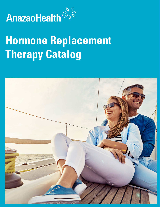

# **Hormone Replacement Therapy Catalog**

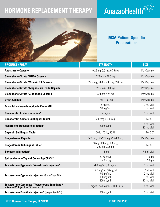# **HORMONE REPLACEMENT THERAPY**





### **503A Patient-Specific Preparations**

| <b>PRODUCT / FORM</b>                                                                   | <b>STRENGTH</b>                                                | <b>SIZE</b>                                       |
|-----------------------------------------------------------------------------------------|----------------------------------------------------------------|---------------------------------------------------|
| <b>Anastrozole Capsule</b>                                                              | $0.25$ mg, $0.5$ mg, $0.75$ mg                                 | Per Capsule                                       |
| <b>Clomiphene Citrate / DHEA Capsule</b>                                                | 22.5 mg / 22.5 mg                                              | Per Capsule                                       |
| <b>Clomiphene Citrate / Vitamin D3 Capsule</b>                                          | 22.5 mg / 900 iu / 45 mg / 900 iu                              | Per Capsule                                       |
| <b>Clomiphene Citrate / Magnesium Oxide Capsule</b>                                     | 22.5 mg / 500 mg                                               | Per Capsule                                       |
| <b>Clomiphene Citrate / Zinc Oxide Capsule</b>                                          | 22.5 mg / 25 mg                                                | Per Capsule                                       |
| <b>DHEA Capsule</b>                                                                     | 1 mg - 150 mg                                                  | Per Capsule                                       |
| <b>Estradiol Valerate Injection in Castor Oil</b>                                       | 5 mg/mL<br>30 mg/mL                                            | 2 mL Vial<br>5 mL Vial                            |
| <b>Gonadorelin Acetate Injection*</b>                                                   | $0.2$ mg/mL                                                    | 5 mL Vial                                         |
| <b>Gonadorelin Acetate Sublingual Tablet</b>                                            | 300mcg / 500mcg                                                | Per SLT                                           |
| <b>Nandrolone Decanoate Injection*</b>                                                  | $200$ mg/mL                                                    | 5 mL Vial<br>10 mL Vial                           |
| <b>Oxytocin Sublingual Tablet</b>                                                       | 20 IU, 40 IU, 50 IU                                            | Per SLT                                           |
| <b>Progesterone Capsule</b>                                                             | 0-80 mg, 120-175 mg, 225-400 mg                                | Per Capsule                                       |
| <b>Progesterone Sublingual Tablet</b>                                                   | 50 mg, 100 mg, 150 mg,<br>200 mg, 225 mg                       | Per SLT                                           |
| Sermorelin Injection*                                                                   | 15 <sub>mg</sub>                                               | 7.5 ml Vial                                       |
| Spironolactone Topical Cream TopiCLICK®                                                 | $20 - 50$ mg/g<br>10-50 $mg/g$                                 | 15 <sub>gm</sub><br>$30 \text{ gm}$               |
| Testosterone Cypionate / Anastrozole Injection*                                         | 200 mg/mL / 1 mg/mL                                            | 5 mL Vial                                         |
| Testosterone Cypionate Injection (Grape Seed Oil)                                       | 12.5 mg/mL, 50 mg/mL<br>$50$ mg/mL<br>$100$ mg/mL<br>200 mg/mL | 2 ml Vial<br>2 mL Vial<br>5 mL Vial<br>10 mL Vial |
| Testosterone Cypionate / Testosterone Enanthate /<br>Vitamin D3 Injection* (Sesame Oil) | 160 mg/mL / 40 mg/mL / 1000 iu/mL                              | 5 mL Vial                                         |
| Testosterone Enanthate Injection* (Grape Seed Oil)                                      | 200 mg/mL                                                      | 5 mL Vial                                         |

**5710 Hoover Blvd Tampa, FL 33634 P: 800.995.4363**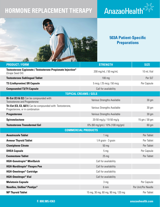## **HORMONE REPLACEMENT THERAPY**





## **503A Patient-Specific Preparations**

| <b>PRODUCT / FORM</b>                                                                          | <b>STRENGTH</b>                 | <b>SIZE</b>         |  |
|------------------------------------------------------------------------------------------------|---------------------------------|---------------------|--|
| Testosterone Cypionate / Testosterone Propionate Injection*<br>(Grape Seed Oil)                | 200 mg/mL / 50 mg/mL            | 10 mL Vial          |  |
| <b>Testosterone Sublingual Tablet</b>                                                          | 100 mg                          | Per SLT             |  |
| <b>T3 (Liothyronine) SR Capsule</b>                                                            | 5 mcg / 25 mcg / 50 mcg         | Per Capsule         |  |
| <b>Compounded T3/T4 Capsule</b>                                                                | Call for availability           |                     |  |
|                                                                                                | <b>TOPICAL CREAMS / GELS</b>    |                     |  |
| Bi-Est (E3 & E2) Can be compounded with:<br><b>Testosterone and Progesterone</b>               | Various Strengths Available     | 30 <sub>gm</sub>    |  |
| Tri-Est (E3, E2, &E1) Can be compounded with: Testosterone,<br>Progesterone, or in combination | Various Strengths Available     | 30 gm               |  |
| <b>Progesterone</b>                                                                            | Various Strengths Available     | 30 <sub>gm</sub>    |  |
| <b>Spironolactone</b>                                                                          | 20-50 mg/g / 10-50 mg/g         | 15 gm / 30 gm       |  |
| <b>Testosterone Transdermal Gel</b>                                                            | 6% (60 mg/gm) / 10% (100 mg/gm) | $60$ gm             |  |
| <b>COMMERCIAL PRODUCTS</b>                                                                     |                                 |                     |  |
| <b>Anastrozole Tablet</b>                                                                      | 1 <sub>mg</sub>                 | Per Tablet          |  |
|                                                                                                |                                 |                     |  |
| <b>Armour Thyroid Tablet</b>                                                                   | 1/4 grain - 3 grain             | Per Tablet          |  |
| <b>Clomiphene Citrate</b>                                                                      | 50 mg                           | Per Tablet          |  |
| <b>DHEA Capsule</b>                                                                            | 5 <sub>mg</sub>                 | Per Capsule         |  |
| <b>Exemestane Tablet</b>                                                                       | 25 <sub>mg</sub>                | Per Tablet          |  |
| <b>HGH-Genotropin<sup>®</sup> MiniQuick</b>                                                    | Call for availability           |                     |  |
| <b>HGH-Norditropin<sup>®</sup> Flexpro Pen</b>                                                 | Call for availability           |                     |  |
| <b>HGH-Omnitrope<sup>®</sup> Cartridge</b>                                                     | Call for availability           |                     |  |
| <b>HGH-Omnitrope<sup>®</sup> Vial</b>                                                          | Call for availability           |                     |  |
| <b>Melatonin Capsule</b>                                                                       | 3 mg                            | Per Capsule         |  |
| <b>Needles, Unifine® Pentips®</b>                                                              | 6 mm                            | Per Unit/Per Needle |  |

E

#### **F: 800.985.4363 anazaohealth.com**